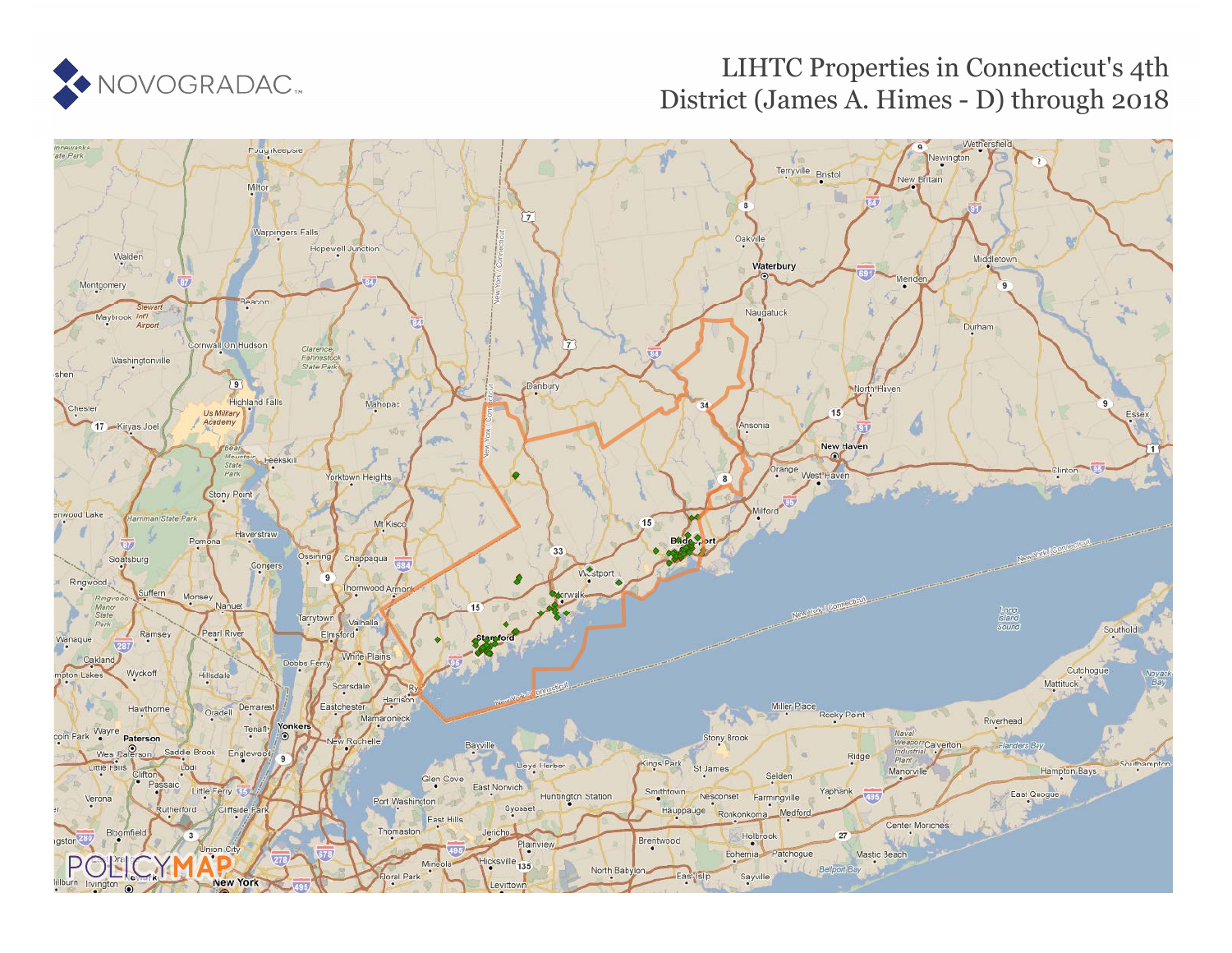

## LIHTC Properties in Connecticut's 4th District (James A. Himes - D) through 2018

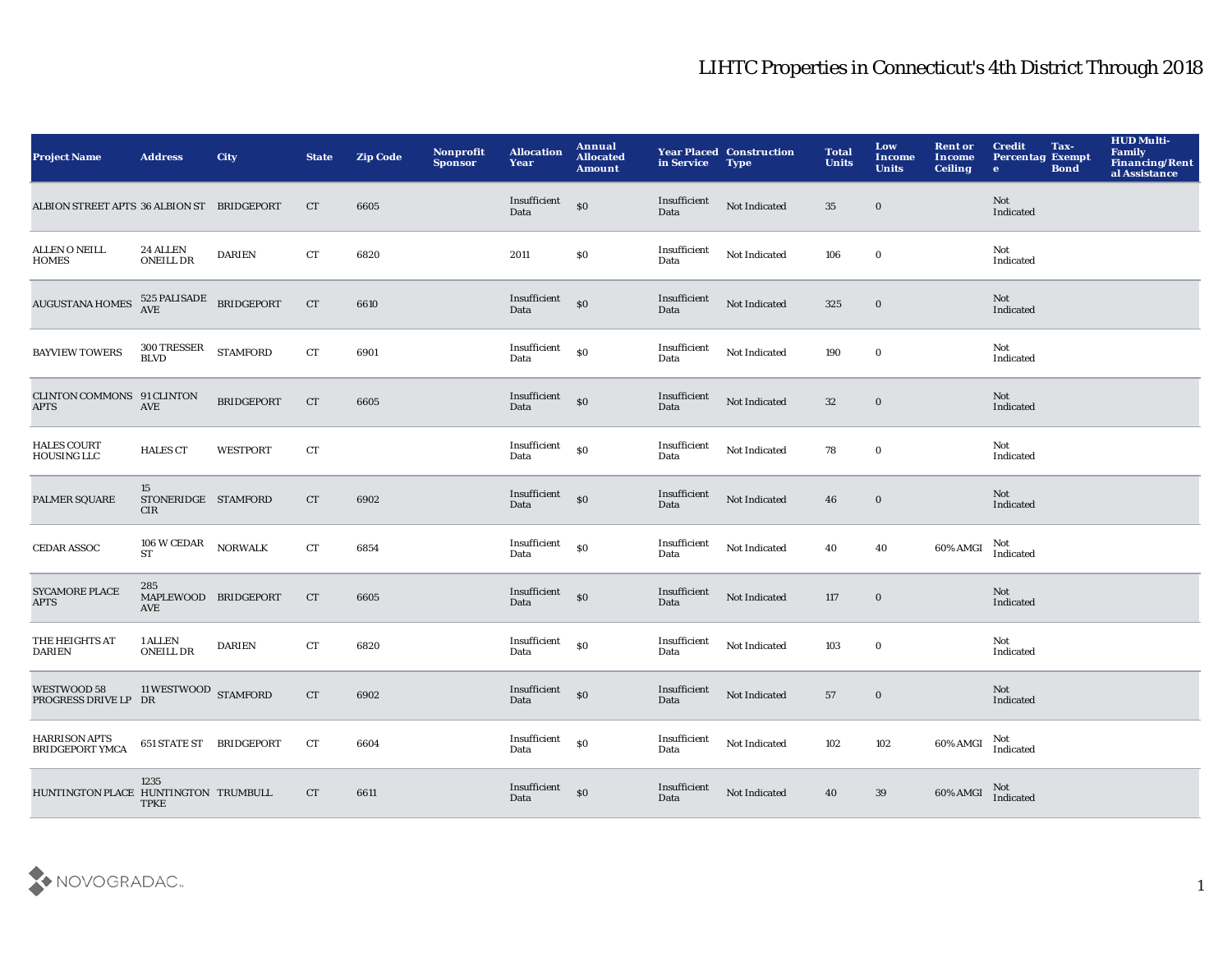| <b>Project Name</b>                            | <b>Address</b>                                  | <b>City</b>       | <b>State</b>       | <b>Zip Code</b> | Nonprofit<br><b>Sponsor</b> | <b>Allocation</b><br>Year | Annual<br><b>Allocated</b><br><b>Amount</b>      | in Service           | <b>Year Placed Construction</b><br><b>Type</b> | <b>Total</b><br><b>Units</b> | Low<br><b>Income</b><br><b>Units</b> | <b>Rent or</b><br><b>Income</b><br><b>Ceiling</b> | <b>Credit</b><br><b>Percentag Exempt</b><br>$\bullet$ | Tax-<br><b>Bond</b> | <b>HUD Multi-</b><br>Family<br>Financing/Rent<br>al Assistance |
|------------------------------------------------|-------------------------------------------------|-------------------|--------------------|-----------------|-----------------------------|---------------------------|--------------------------------------------------|----------------------|------------------------------------------------|------------------------------|--------------------------------------|---------------------------------------------------|-------------------------------------------------------|---------------------|----------------------------------------------------------------|
| ALBION STREET APTS 36 ALBION ST BRIDGEPORT     |                                                 |                   | CT                 | 6605            |                             | Insufficient<br>Data      | \$0                                              | Insufficient<br>Data | Not Indicated                                  | 35                           | $\mathbf 0$                          |                                                   | Not<br>Indicated                                      |                     |                                                                |
| <b>ALLEN O NEILL</b><br><b>HOMES</b>           | 24 ALLEN<br><b>ONEILL DR</b>                    | <b>DARIEN</b>     | ${\rm CT}$         | 6820            |                             | 2011                      | \$0                                              | Insufficient<br>Data | Not Indicated                                  | 106                          | $\mathbf 0$                          |                                                   | Not<br>Indicated                                      |                     |                                                                |
| <b>AUGUSTANA HOMES</b>                         | $525$ PALISADE BRIDGEPORT $\,$ AVE              |                   | ${\cal C}{\cal T}$ | 6610            |                             | Insufficient<br>Data      | $\boldsymbol{\mathsf{S}}\boldsymbol{\mathsf{O}}$ | Insufficient<br>Data | Not Indicated                                  | 325                          | $\mathbf 0$                          |                                                   | <b>Not</b><br>Indicated                               |                     |                                                                |
| <b>BAYVIEW TOWERS</b>                          | 300 TRESSER<br><b>BLVD</b>                      | <b>STAMFORD</b>   | ${\cal C}{\cal T}$ | 6901            |                             | Insufficient<br>Data      | $\$0$                                            | Insufficient<br>Data | Not Indicated                                  | 190                          | $\bf{0}$                             |                                                   | Not<br>Indicated                                      |                     |                                                                |
| CLINTON COMMONS 91 CLINTON<br><b>APTS</b>      | AVE                                             | <b>BRIDGEPORT</b> | CT                 | 6605            |                             | Insufficient<br>Data      | \$0                                              | Insufficient<br>Data | Not Indicated                                  | 32                           | $\boldsymbol{0}$                     |                                                   | <b>Not</b><br>Indicated                               |                     |                                                                |
| <b>HALES COURT</b><br>HOUSING LLC              | <b>HALES CT</b>                                 | <b>WESTPORT</b>   | ${\rm CT}$         |                 |                             | Insufficient<br>Data      | S <sub>0</sub>                                   | Insufficient<br>Data | Not Indicated                                  | 78                           | $\bf{0}$                             |                                                   | Not<br>Indicated                                      |                     |                                                                |
| PALMER SQUARE                                  | 15<br>STONERIDGE STAMFORD<br>CIR                |                   | CT                 | 6902            |                             | Insufficient<br>Data      | \$0                                              | Insufficient<br>Data | Not Indicated                                  | 46                           | $\bf{0}$                             |                                                   | <b>Not</b><br>Indicated                               |                     |                                                                |
| <b>CEDAR ASSOC</b>                             | $106\;\mathrm{W}\, \mathrm{CEDAR}$<br><b>ST</b> | <b>NORWALK</b>    | ${\rm CT}$         | 6854            |                             | Insufficient<br>Data      | \$0                                              | Insufficient<br>Data | Not Indicated                                  | 40                           | 40                                   | 60% AMGI                                          | Not<br>Indicated                                      |                     |                                                                |
| <b>SYCAMORE PLACE</b><br><b>APTS</b>           | 285<br>MAPLEWOOD BRIDGEPORT<br>AVE              |                   | CT                 | 6605            |                             | Insufficient<br>Data      | \$0                                              | Insufficient<br>Data | Not Indicated                                  | 117                          | $\mathbf 0$                          |                                                   | Not<br>Indicated                                      |                     |                                                                |
| THE HEIGHTS AT<br><b>DARIEN</b>                | 1 ALLEN<br><b>ONEILL DR</b>                     | <b>DARIEN</b>     | ${\rm CT}$         | 6820            |                             | Insufficient<br>Data      | $\boldsymbol{\mathsf{s}}$                        | Insufficient<br>Data | Not Indicated                                  | 103                          | $\bf{0}$                             |                                                   | Not<br>Indicated                                      |                     |                                                                |
| WESTWOOD 58<br>PROGRESS DRIVE LP DR            | 11 WESTWOOD STAMFORD                            |                   | ${\cal C}{\cal T}$ | 6902            |                             | Insufficient<br>Data      | $\mathbf{S}$                                     | Insufficient<br>Data | Not Indicated                                  | 57                           | $\mathbf 0$                          |                                                   | <b>Not</b><br>Indicated                               |                     |                                                                |
| <b>HARRISON APTS</b><br><b>BRIDGEPORT YMCA</b> | 651 STATE ST BRIDGEPORT                         |                   | CT                 | 6604            |                             | Insufficient<br>Data      | \$0                                              | Insufficient<br>Data | Not Indicated                                  | 102                          | 102                                  | 60% AMGI                                          | Not<br>Indicated                                      |                     |                                                                |
| HUNTINGTON PLACE HUNTINGTON TRUMBULL           | 1235<br><b>TPKE</b>                             |                   | CT                 | 6611            |                             | Insufficient<br>Data      | \$0                                              | Insufficient<br>Data | Not Indicated                                  | 40                           | 39                                   | 60% AMGI                                          | Not<br>Indicated                                      |                     |                                                                |

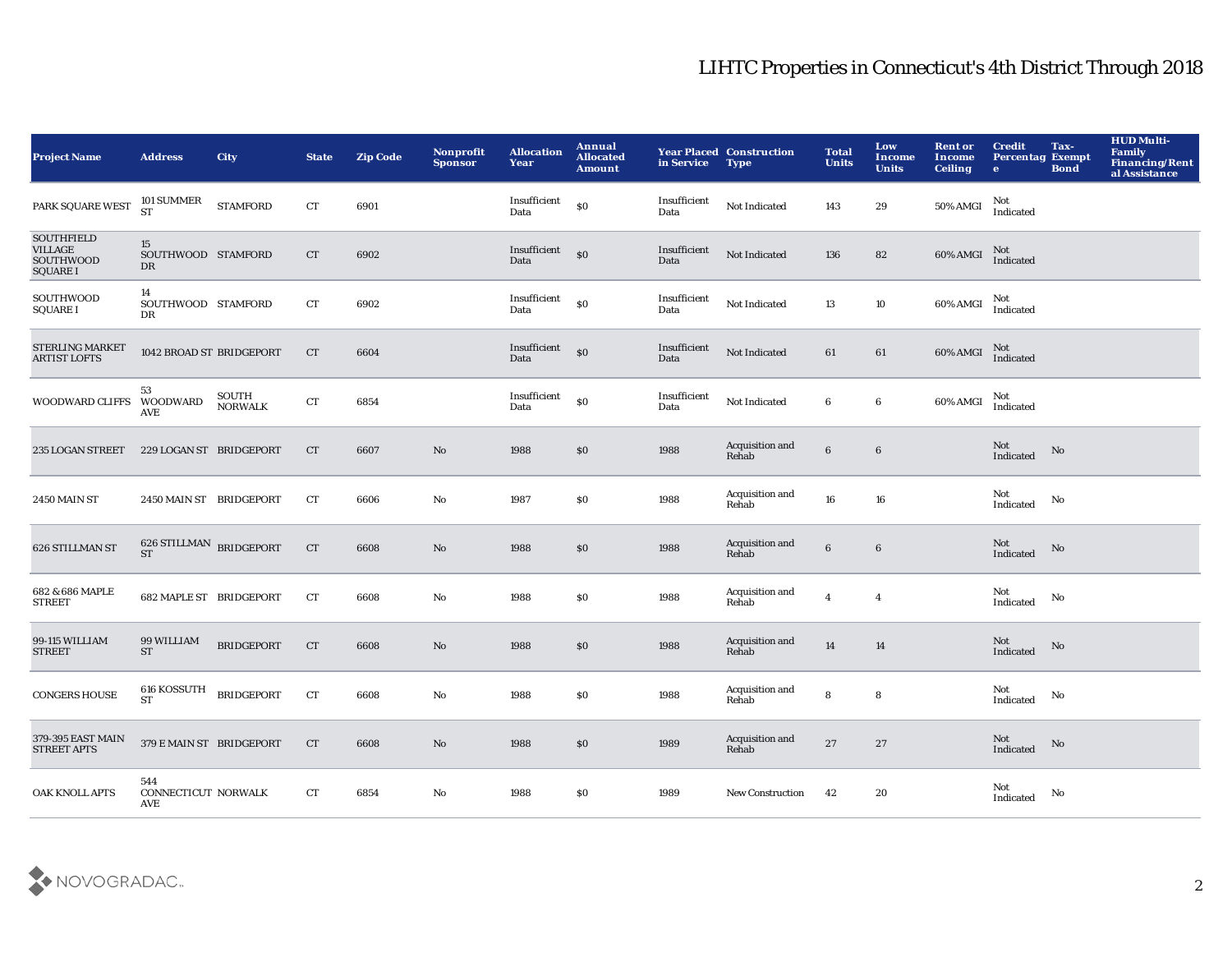| <b>Project Name</b>                                                 | <b>Address</b>                         | <b>City</b>             | <b>State</b>       | <b>Zip Code</b> | Nonprofit<br><b>Sponsor</b> | <b>Allocation</b><br>Year | Annual<br><b>Allocated</b><br><b>Amount</b> | in Service           | <b>Year Placed Construction</b><br><b>Type</b> | <b>Total</b><br><b>Units</b> | Low<br><b>Income</b><br><b>Units</b> | <b>Rent or</b><br>Income<br><b>Ceiling</b> | <b>Credit</b><br><b>Percentag Exempt</b><br>$\bullet$ | Tax-<br><b>Bond</b> | <b>HUD Multi-</b><br>Family<br>Financing/Rent<br>al Assistance |
|---------------------------------------------------------------------|----------------------------------------|-------------------------|--------------------|-----------------|-----------------------------|---------------------------|---------------------------------------------|----------------------|------------------------------------------------|------------------------------|--------------------------------------|--------------------------------------------|-------------------------------------------------------|---------------------|----------------------------------------------------------------|
| PARK SQUARE WEST                                                    | 101 SUMMER<br>ST                       | <b>STAMFORD</b>         | CT                 | 6901            |                             | Insufficient<br>Data      | $\$0$                                       | Insufficient<br>Data | Not Indicated                                  | 143                          | 29                                   | <b>50% AMGI</b>                            | Not<br>Indicated                                      |                     |                                                                |
| <b>SOUTHFIELD</b><br><b>VILLAGE</b><br>SOUTHWOOD<br><b>SQUARE I</b> | 15<br>SOUTHWOOD STAMFORD<br>DR         |                         | CT                 | 6902            |                             | Insufficient<br>Data      | S <sub>0</sub>                              | Insufficient<br>Data | Not Indicated                                  | 136                          | 82                                   | 60% AMGI                                   | Not<br>Indicated                                      |                     |                                                                |
| SOUTHWOOD<br><b>SQUARE I</b>                                        | 14<br>SOUTHWOOD STAMFORD<br>DR         |                         | CT                 | 6902            |                             | Insufficient<br>Data      | $\$0$                                       | Insufficient<br>Data | Not Indicated                                  | 13                           | $10\,$                               | 60% AMGI                                   | Not<br>Indicated                                      |                     |                                                                |
| STERLING MARKET<br><b>ARTIST LOFTS</b>                              | 1042 BROAD ST BRIDGEPORT               |                         | CT                 | 6604            |                             | Insufficient<br>Data      | $\$0$                                       | Insufficient<br>Data | Not Indicated                                  | 61                           | 61                                   | 60% AMGI                                   | Not<br>Indicated                                      |                     |                                                                |
| WOODWARD CLIFFS WOODWARD                                            | 53<br>AVE                              | SOUTH<br><b>NORWALK</b> | ${\rm CT}$         | 6854            |                             | Insufficient<br>Data      | \$0                                         | Insufficient<br>Data | Not Indicated                                  | 6                            | $\bf 6$                              | 60% AMGI                                   | Not<br>Indicated                                      |                     |                                                                |
| 235 LOGAN STREET                                                    | 229 LOGAN ST BRIDGEPORT                |                         | <b>CT</b>          | 6607            | $\mathbf{N}\mathbf{o}$      | 1988                      | \$0\$                                       | 1988                 | Acquisition and<br>Rehab                       | $\bf 6$                      | $\bf 6$                              |                                            | Not<br>Indicated                                      | No                  |                                                                |
| <b>2450 MAIN ST</b>                                                 | 2450 MAIN ST BRIDGEPORT                |                         | CT                 | 6606            | $\mathbf{N}\mathbf{o}$      | 1987                      | $\$0$                                       | 1988                 | Acquisition and<br>Rehab                       | 16                           | ${\bf 16}$                           |                                            | Not<br>Indicated                                      | No                  |                                                                |
| 626 STILLMAN ST                                                     | $626$ STILLMAN $\,$ BRIDGEPORT $\,$ ST |                         | ${\cal C}{\cal T}$ | 6608            | No                          | 1988                      | $\$0$                                       | 1988                 | Acquisition and<br>Rehab                       | $6\phantom{.}$               | $\boldsymbol{6}$                     |                                            | Not<br>Indicated                                      | No                  |                                                                |
| 682 & 686 MAPLE<br><b>STREET</b>                                    | <b>682 MAPLE ST BRIDGEPORT</b>         |                         | CT                 | 6608            | $\mathbf{N}\mathbf{o}$      | 1988                      | $\$0$                                       | 1988                 | Acquisition and<br>Rehab                       | $\overline{4}$               | $\overline{4}$                       |                                            | Not<br>Indicated                                      | No                  |                                                                |
| 99-115 WILLIAM<br><b>STREET</b>                                     | 99 WILLIAM<br><b>ST</b>                | <b>BRIDGEPORT</b>       | CT                 | 6608            | $\mathbf{N}\mathbf{o}$      | 1988                      | $\$0$                                       | 1988                 | Acquisition and<br>Rehab                       | ${\bf 14}$                   | 14                                   |                                            | Not<br>Indicated                                      | No                  |                                                                |
| <b>CONGERS HOUSE</b>                                                | 616 KOSSUTH BRIDGEPORT<br>ST           |                         | CT                 | 6608            | No                          | 1988                      | \$0                                         | 1988                 | Acquisition and<br>Rehab                       | 8                            | 8                                    |                                            | Not<br>Indicated                                      | No                  |                                                                |
| 379-395 EAST MAIN<br>STREET APTS                                    | 379 E MAIN ST BRIDGEPORT               |                         | <b>CT</b>          | 6608            | No                          | 1988                      | \$0                                         | 1989                 | Acquisition and<br>Rehab                       | 27                           | 27                                   |                                            | Not<br>Indicated                                      | No                  |                                                                |
| OAK KNOLL APTS                                                      | 544<br>CONNECTICUT NORWALK<br>AVE      |                         | CT                 | 6854            | No                          | 1988                      | \$0                                         | 1989                 | <b>New Construction</b>                        | 42                           | 20                                   |                                            | Not<br>Indicated                                      | No                  |                                                                |

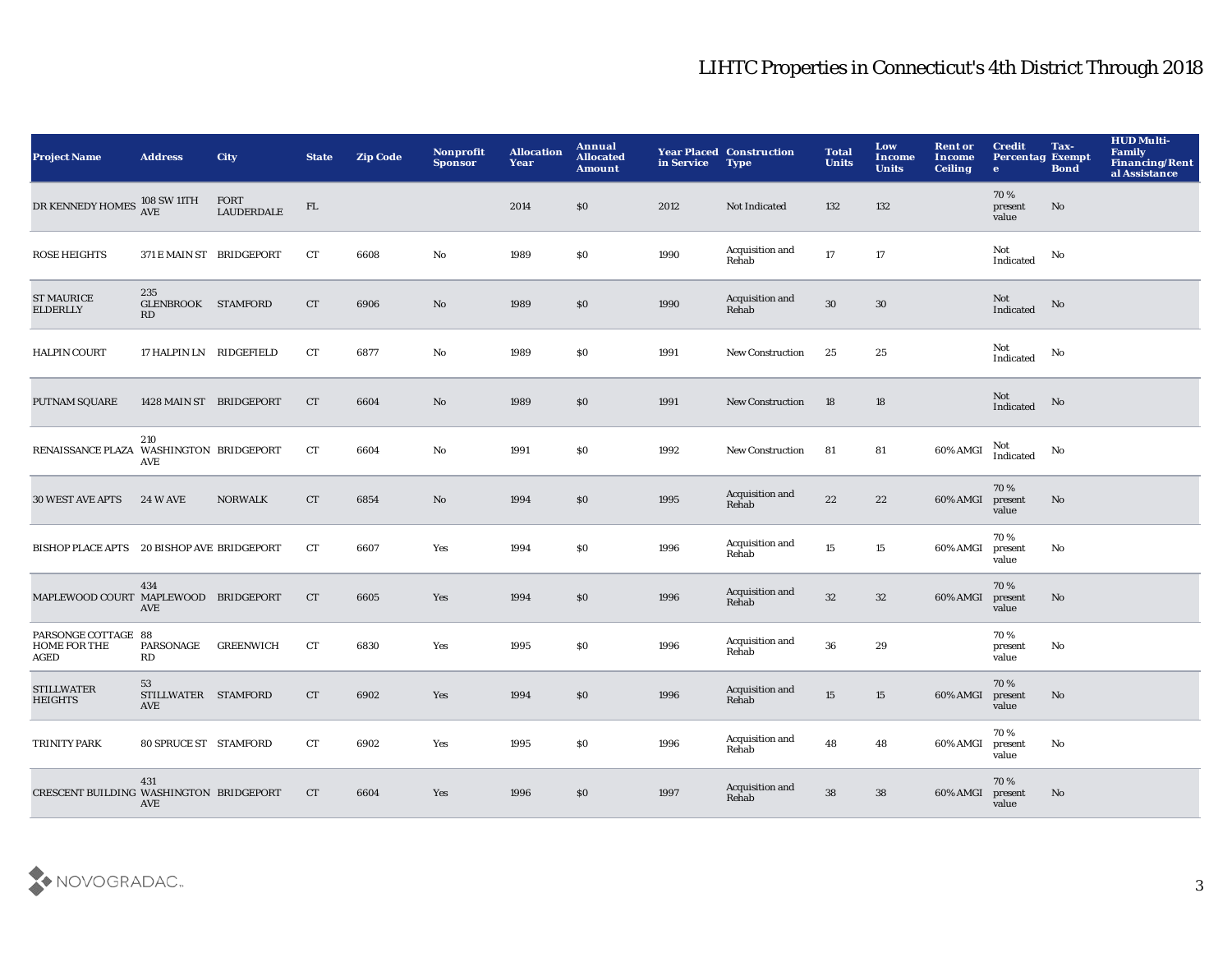| <b>Project Name</b>                                       | <b>Address</b>                          | <b>City</b>               | <b>State</b> | <b>Zip Code</b> | Nonprofit<br><b>Sponsor</b> | <b>Allocation</b><br>Year | Annual<br><b>Allocated</b><br><b>Amount</b> | in Service | <b>Year Placed Construction</b><br><b>Type</b> | <b>Total</b><br><b>Units</b> | Low<br><b>Income</b><br><b>Units</b> | <b>Rent or</b><br>Income<br><b>Ceiling</b> | <b>Credit</b><br><b>Percentag Exempt</b><br>$\bullet$ | Tax-<br><b>Bond</b> | <b>HUD Multi-</b><br>Family<br>Financing/Rent<br>al Assistance |
|-----------------------------------------------------------|-----------------------------------------|---------------------------|--------------|-----------------|-----------------------------|---------------------------|---------------------------------------------|------------|------------------------------------------------|------------------------------|--------------------------------------|--------------------------------------------|-------------------------------------------------------|---------------------|----------------------------------------------------------------|
| DR KENNEDY HOMES 108 SW 11TH                              |                                         | FORT<br><b>LAUDERDALE</b> | FL           |                 |                             | 2014                      | \$0                                         | 2012       | Not Indicated                                  | 132                          | 132                                  |                                            | 70%<br>present<br>value                               | No                  |                                                                |
| <b>ROSE HEIGHTS</b>                                       | 371 E MAIN ST BRIDGEPORT                |                           | CT           | 6608            | $\rm No$                    | 1989                      | \$0                                         | 1990       | Acquisition and<br>Rehab                       | 17                           | 17                                   |                                            | Not<br>Indicated                                      | No                  |                                                                |
| <b>ST MAURICE</b><br><b>ELDERLLY</b>                      | 235<br>GLENBROOK STAMFORD<br>RD         |                           | CT           | 6906            | $\mathbf{N}\mathbf{o}$      | 1989                      | \$0                                         | 1990       | Acquisition and<br>Rehab                       | $30\,$                       | $30\,$                               |                                            | Not<br>Indicated                                      | No                  |                                                                |
| <b>HALPIN COURT</b>                                       | 17 HALPIN LN RIDGEFIELD                 |                           | CT           | 6877            | No                          | 1989                      | \$0                                         | 1991       | <b>New Construction</b>                        | 25                           | 25                                   |                                            | Not<br>Indicated                                      | No                  |                                                                |
| <b>PUTNAM SQUARE</b>                                      | 1428 MAIN ST BRIDGEPORT                 |                           | CT           | 6604            | $\mathbf{N}\mathbf{o}$      | 1989                      | \$0                                         | 1991       | New Construction                               | 18                           | 18                                   |                                            | Not<br>Indicated                                      | No                  |                                                                |
| RENAISSANCE PLAZA WASHINGTON BRIDGEPORT                   | 210<br>AVE                              |                           | CT           | 6604            | $\mathbf {No}$              | 1991                      | \$0                                         | 1992       | <b>New Construction</b>                        | 81                           | 81                                   | 60% AMGI                                   | Not<br>Indicated                                      | No                  |                                                                |
| <b>30 WEST AVE APTS</b>                                   | <b>24 W AVE</b>                         | <b>NORWALK</b>            | ${\rm CT}$   | 6854            | $\mathbf{N}\mathbf{o}$      | 1994                      | $\$0$                                       | 1995       | Acquisition and<br>Rehab                       | $\bf{22}$                    | 22                                   | 60% AMGI                                   | 70%<br>present<br>value                               | No                  |                                                                |
| BISHOP PLACE APTS 20 BISHOP AVE BRIDGEPORT                |                                         |                           | CT           | 6607            | Yes                         | 1994                      | \$0                                         | 1996       | Acquisition and<br>Rehab                       | $15\,$                       | 15                                   | 60% AMGI                                   | 70%<br>present<br>value                               | No                  |                                                                |
| MAPLEWOOD COURT MAPLEWOOD BRIDGEPORT                      | 434<br>AVE                              |                           | CT           | 6605            | Yes                         | 1994                      | \$0                                         | 1996       | Acquisition and<br>Rehab                       | $32\,$                       | 32                                   | 60% AMGI                                   | 70%<br>present<br>value                               | No                  |                                                                |
| PARSONGE COTTAGE 88<br><b>HOME FOR THE</b><br><b>AGED</b> | PARSONAGE<br>RD                         | <b>GREENWICH</b>          | CT           | 6830            | Yes                         | 1995                      | \$0                                         | 1996       | Acquisition and<br>Rehab                       | 36                           | 29                                   |                                            | 70%<br>present<br>value                               | No                  |                                                                |
| <b>STILLWATER</b><br><b>HEIGHTS</b>                       | 53<br>STILLWATER STAMFORD<br><b>AVE</b> |                           | ${\rm CT}$   | 6902            | Yes                         | 1994                      | \$0                                         | 1996       | Acquisition and<br>Rehab                       | 15                           | 15                                   | 60% AMGI                                   | 70%<br>present<br>value                               | No                  |                                                                |
| TRINITY PARK                                              | 80 SPRUCE ST STAMFORD                   |                           | CT           | 6902            | Yes                         | 1995                      | \$0                                         | 1996       | Acquisition and<br>Rehab                       | 48                           | 48                                   | 60% AMGI                                   | 70%<br>present<br>value                               | No                  |                                                                |
| CRESCENT BUILDING WASHINGTON BRIDGEPORT                   | 431<br>AVE                              |                           | <b>CT</b>    | 6604            | Yes                         | 1996                      | \$0                                         | 1997       | Acquisition and<br>Rehab                       | 38                           | ${\bf 38}$                           | 60% AMGI                                   | 70%<br>present<br>value                               | No                  |                                                                |

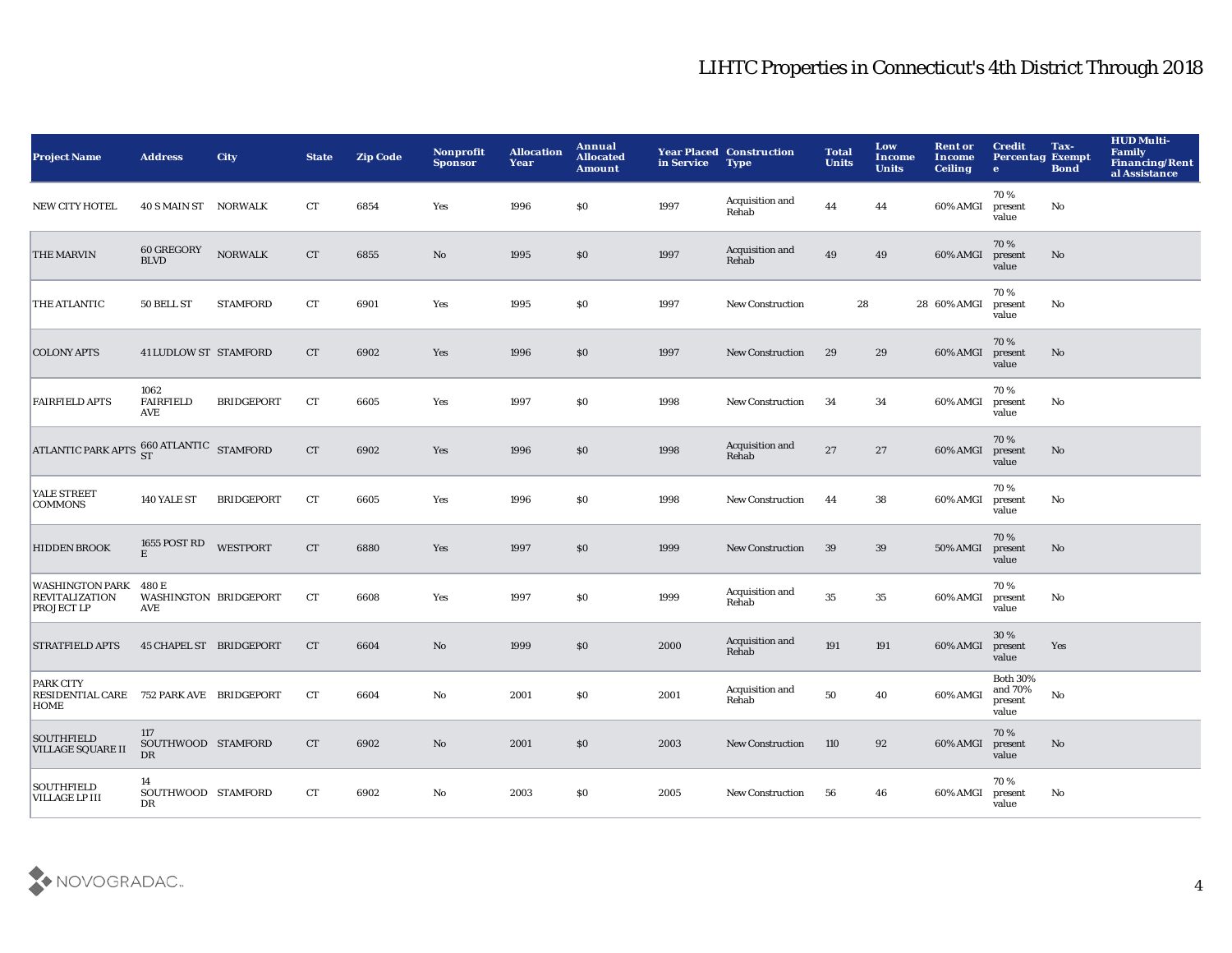| <b>Project Name</b>                                                         | <b>Address</b>                               | <b>City</b>       | <b>State</b>       | <b>Zip Code</b> | Nonprofit<br><b>Sponsor</b> | <b>Allocation</b><br>Year | Annual<br><b>Allocated</b><br><b>Amount</b> | in Service | <b>Year Placed Construction</b><br><b>Type</b> | <b>Total</b><br><b>Units</b> | Low<br><b>Income</b><br><b>Units</b> | <b>Rent or</b><br>Income<br><b>Ceiling</b> | <b>Credit</b><br><b>Percentag Exempt</b><br>$\bullet$ | Tax-<br><b>Bond</b> | <b>HUD Multi-</b><br><b>Family</b><br><b>Financing/Rent</b><br>al Assistance |
|-----------------------------------------------------------------------------|----------------------------------------------|-------------------|--------------------|-----------------|-----------------------------|---------------------------|---------------------------------------------|------------|------------------------------------------------|------------------------------|--------------------------------------|--------------------------------------------|-------------------------------------------------------|---------------------|------------------------------------------------------------------------------|
| <b>NEW CITY HOTEL</b>                                                       | 40 S MAIN ST NORWALK                         |                   | CT                 | 6854            | Yes                         | 1996                      | \$0                                         | 1997       | Acquisition and<br>Rehab                       | 44                           | 44                                   | 60% AMGI                                   | 70%<br>present<br>value                               | No                  |                                                                              |
| THE MARVIN                                                                  | 60 GREGORY<br><b>BLVD</b>                    | $\sf{NORMALK}$    | CT                 | 6855            | $\mathbf{N}\mathbf{o}$      | 1995                      | \$0                                         | 1997       | Acquisition and<br>Rehab                       | 49                           | 49                                   | 60% AMGI                                   | 70%<br>present<br>value                               | $\mathbf{No}$       |                                                                              |
| THE ATLANTIC                                                                | 50 BELL ST                                   | <b>STAMFORD</b>   | ${\cal C}{\cal T}$ | 6901            | Yes                         | 1995                      | $\$0$                                       | 1997       | <b>New Construction</b>                        | 28                           |                                      | 28 60% AMGI                                | 70%<br>present<br>value                               | No                  |                                                                              |
| <b>COLONY APTS</b>                                                          | 41 LUDLOW ST STAMFORD                        |                   | CT                 | 6902            | Yes                         | 1996                      | \$0                                         | 1997       | <b>New Construction</b>                        | 29                           | 29                                   | 60% AMGI                                   | 70%<br>present<br>value                               | No                  |                                                                              |
| <b>FAIRFIELD APTS</b>                                                       | 1062<br><b>FAIRFIELD</b><br>AVE              | <b>BRIDGEPORT</b> | ${\rm CT}$         | 6605            | Yes                         | 1997                      | <b>SO</b>                                   | 1998       | New Construction                               | 34                           | 34                                   | 60% AMGI                                   | 70%<br>present<br>value                               | No                  |                                                                              |
| ATLANTIC PARK APTS $^{660}_{ST}$ ATLANTIC STAMFORD                          |                                              |                   | CT                 | 6902            | Yes                         | 1996                      | \$0                                         | 1998       | Acquisition and<br>Rehab                       | $\bf 27$                     | $27\,$                               | 60% AMGI                                   | 70%<br>present<br>value                               | $\mathbf{No}$       |                                                                              |
| YALE STREET<br><b>COMMONS</b>                                               | 140 YALE ST                                  | <b>BRIDGEPORT</b> | ${\rm CT}$         | 6605            | Yes                         | 1996                      | \$0                                         | 1998       | <b>New Construction</b>                        | 44                           | 38                                   | 60% AMGI                                   | 70%<br>present<br>value                               | No                  |                                                                              |
| <b>HIDDEN BROOK</b>                                                         | 1655 POST RD<br>$\mathbf E$                  | <b>WESTPORT</b>   | CT                 | 6880            | Yes                         | 1997                      | \$0                                         | 1999       | <b>New Construction</b>                        | 39                           | 39                                   | 50% AMGI                                   | 70%<br>present<br>value                               | No                  |                                                                              |
| <b>WASHINGTON PARK</b><br><b>REVITALIZATION</b><br>PROJECT LP               | 480 E<br>WASHINGTON BRIDGEPORT<br><b>AVE</b> |                   | CT                 | 6608            | Yes                         | 1997                      | \$0                                         | 1999       | Acquisition and<br>Rehab                       | 35                           | 35                                   | 60% AMGI                                   | 70%<br>present<br>value                               | No                  |                                                                              |
| <b>STRATFIELD APTS</b>                                                      | 45 CHAPEL ST BRIDGEPORT                      |                   | CT                 | 6604            | No                          | 1999                      | \$0                                         | 2000       | Acquisition and<br>Rehab                       | 191                          | 191                                  | 60% AMGI                                   | 30%<br>present<br>value                               | Yes                 |                                                                              |
| <b>PARK CITY</b><br>RESIDENTIAL CARE 752 PARK AVE BRIDGEPORT<br><b>HOME</b> |                                              |                   | CT                 | 6604            | $\mathbf{No}$               | 2001                      | \$0                                         | 2001       | Acquisition and<br>Rehab                       | 50                           | 40                                   | 60% AMGI                                   | <b>Both 30%</b><br>and 70%<br>present<br>value        | $\mathbf {No}$      |                                                                              |
| <b>SOUTHFIELD</b><br><b>VILLAGE SQUARE II</b>                               | 117<br>SOUTHWOOD STAMFORD<br>$_{\rm DR}$     |                   | CT                 | 6902            | No                          | 2001                      | \$0                                         | 2003       | New Construction                               | 110                          | 92                                   | 60% AMGI                                   | 70%<br>present<br>value                               | $\mathbf{No}$       |                                                                              |
| <b>SOUTHFIELD</b><br><b>VILLAGE LP III</b>                                  | 14<br>SOUTHWOOD STAMFORD<br>DR               |                   | CT                 | 6902            | No                          | 2003                      | <b>SO</b>                                   | 2005       | <b>New Construction</b>                        | 56                           | 46                                   | 60% AMGI                                   | 70%<br>present<br>value                               | No                  |                                                                              |

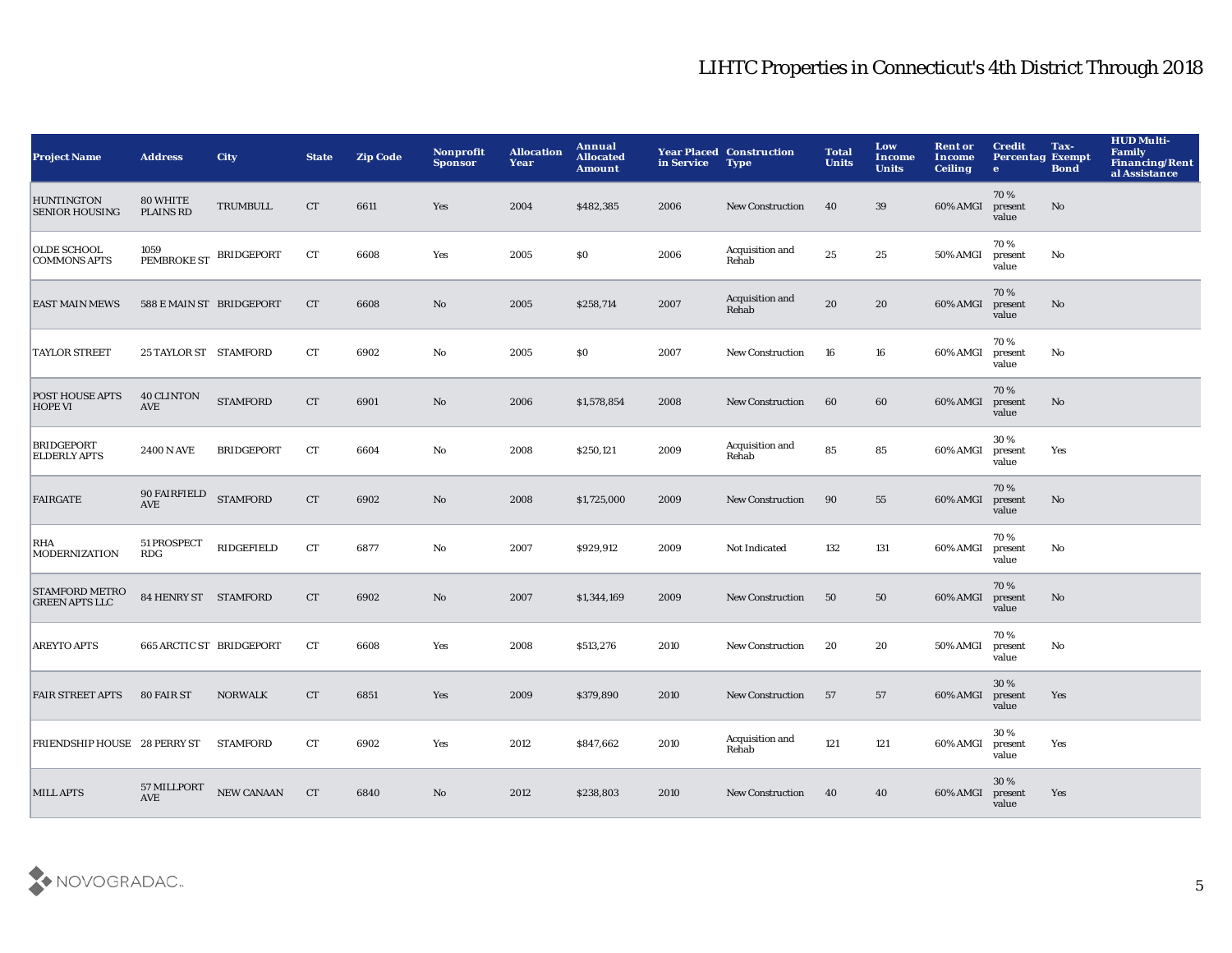| <b>Project Name</b>                            | <b>Address</b>                    | <b>City</b>       | <b>State</b>       | <b>Zip Code</b> | Nonprofit<br><b>Sponsor</b> | <b>Allocation</b><br>Year | Annual<br><b>Allocated</b><br><b>Amount</b> | in Service | <b>Year Placed Construction</b><br><b>Type</b> | <b>Total</b><br><b>Units</b> | Low<br>Income<br><b>Units</b> | <b>Rent or</b><br>Income<br><b>Ceiling</b> | <b>Credit</b><br><b>Percentag Exempt</b><br>$\bullet$ | Tax-<br><b>Bond</b> | <b>HUD Multi-</b><br><b>Family</b><br>Financing/Rent<br>al Assistance |
|------------------------------------------------|-----------------------------------|-------------------|--------------------|-----------------|-----------------------------|---------------------------|---------------------------------------------|------------|------------------------------------------------|------------------------------|-------------------------------|--------------------------------------------|-------------------------------------------------------|---------------------|-----------------------------------------------------------------------|
| <b>HUNTINGTON</b><br><b>SENIOR HOUSING</b>     | 80 WHITE<br><b>PLAINS RD</b>      | <b>TRUMBULL</b>   | CT                 | 6611            | Yes                         | 2004                      | \$482,385                                   | 2006       | <b>New Construction</b>                        | 40                           | 39                            | 60% AMGI                                   | 70%<br>present<br>value                               | No                  |                                                                       |
| <b>OLDE SCHOOL</b><br><b>COMMONS APTS</b>      | 1059<br>PEMBROKE ST BRIDGEPORT    |                   | ${\rm CT}$         | 6608            | Yes                         | 2005                      | \$0                                         | 2006       | Acquisition and<br>Rehab                       | 25                           | 25                            | 50% AMGI                                   | 70%<br>present<br>value                               | No                  |                                                                       |
| <b>EAST MAIN MEWS</b>                          | 588 E MAIN ST BRIDGEPORT          |                   | CT                 | 6608            | $\rm No$                    | 2005                      | \$258,714                                   | 2007       | Acquisition and<br>Rehab                       | 20                           | 20                            | 60% AMGI                                   | 70%<br>present<br>value                               | $\mathbf {No}$      |                                                                       |
| <b>TAYLOR STREET</b>                           | 25 TAYLOR ST STAMFORD             |                   | ${\rm CT}$         | 6902            | No                          | 2005                      | \$0                                         | 2007       | New Construction                               | 16                           | 16                            | 60% AMGI                                   | 70%<br>present<br>value                               | No                  |                                                                       |
| <b>POST HOUSE APTS</b><br><b>HOPE VI</b>       | <b>40 CLINTON</b><br>AVE          | <b>STAMFORD</b>   | ${\cal C}{\cal T}$ | 6901            | No                          | 2006                      | \$1,578,854                                 | 2008       | New Construction                               | 60                           | 60                            | 60% AMGI                                   | 70%<br>present<br>value                               | No                  |                                                                       |
| <b>BRIDGEPORT</b><br><b>ELDERLY APTS</b>       | <b>2400 N AVE</b>                 | <b>BRIDGEPORT</b> | ${\rm CT}$         | 6604            | No                          | 2008                      | \$250,121                                   | 2009       | Acquisition and<br>Rehab                       | 85                           | 85                            | 60% AMGI                                   | 30%<br>present<br>value                               | Yes                 |                                                                       |
| <b>FAIRGATE</b>                                | <b>90 FAIRFIELD</b><br><b>AVE</b> | <b>STAMFORD</b>   | ${\cal C}{\cal T}$ | 6902            | $\mathbf{N}\mathbf{o}$      | 2008                      | \$1,725,000                                 | 2009       | <b>New Construction</b>                        | 90                           | 55                            | 60% AMGI                                   | 70%<br>present<br>value                               | $\mathbf{No}$       |                                                                       |
| RHA<br><b>MODERNIZATION</b>                    | 51 PROSPECT<br>R <sub>D</sub> G   | <b>RIDGEFIELD</b> | ${\rm CT}$         | 6877            | No                          | 2007                      | \$929,912                                   | 2009       | Not Indicated                                  | 132                          | 131                           | 60% AMGI                                   | 70%<br>present<br>value                               | No                  |                                                                       |
| <b>STAMFORD METRO</b><br><b>GREEN APTS LLC</b> | 84 HENRY ST STAMFORD              |                   | CT                 | 6902            | No                          | 2007                      | \$1,344,169                                 | 2009       | New Construction                               | 50                           | 50                            | 60% AMGI                                   | 70%<br>present<br>value                               | No                  |                                                                       |
| <b>AREYTO APTS</b>                             | 665 ARCTIC ST BRIDGEPORT          |                   | ${\rm CT}$         | 6608            | Yes                         | 2008                      | \$513,276                                   | 2010       | <b>New Construction</b>                        | 20                           | 20                            | 50% AMGI                                   | 70%<br>present<br>value                               | No                  |                                                                       |
| <b>FAIR STREET APTS</b>                        | 80 FAIR ST                        | <b>NORWALK</b>    | CT                 | 6851            | Yes                         | 2009                      | \$379,890                                   | 2010       | <b>New Construction</b>                        | - 57                         | 57                            | 60% AMGI                                   | 30 %<br>present<br>value                              | Yes                 |                                                                       |
| FRIENDSHIP HOUSE 28 PERRY ST                   |                                   | <b>STAMFORD</b>   | CT                 | 6902            | Yes                         | 2012                      | \$847,662                                   | 2010       | Acquisition and<br>Rehab                       | 121                          | 121                           | 60% AMGI                                   | 30%<br>present<br>value                               | Yes                 |                                                                       |
| <b>MILL APTS</b>                               | 57 MILLPORT<br><b>AVE</b>         | <b>NEW CANAAN</b> | CT                 | 6840            | $\rm No$                    | 2012                      | \$238,803                                   | 2010       | <b>New Construction</b>                        | 40                           | 40                            | 60% AMGI                                   | 30 %<br>present<br>value                              | Yes                 |                                                                       |

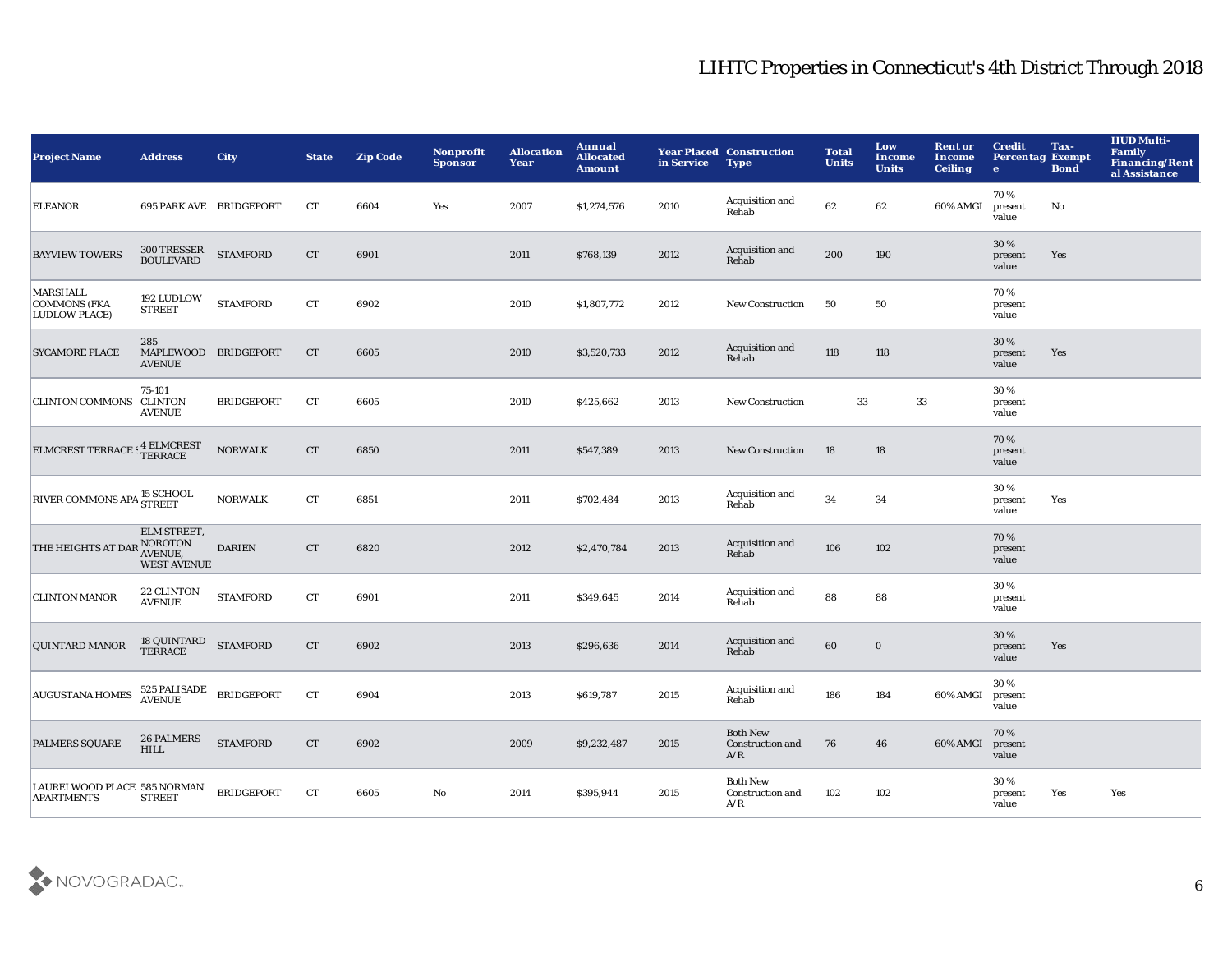| <b>Project Name</b>                                                                                                                      | <b>Address</b>                                                                        | <b>City</b>                    | <b>State</b>       | <b>Zip Code</b> | Nonprofit<br><b>Sponsor</b> | <b>Allocation</b><br>Year | Annual<br><b>Allocated</b><br><b>Amount</b> | in Service | <b>Year Placed Construction</b><br><b>Type</b> | <b>Total</b><br><b>Units</b> | Low<br>Income<br><b>Units</b> | <b>Rent or</b><br>Income<br><b>Ceiling</b> | <b>Credit</b><br><b>Percentag Exempt</b><br>$\bullet$ | Tax-<br><b>Bond</b> | <b>HUD Multi-</b><br><b>Family</b><br><b>Financing/Rent</b><br>al Assistance |
|------------------------------------------------------------------------------------------------------------------------------------------|---------------------------------------------------------------------------------------|--------------------------------|--------------------|-----------------|-----------------------------|---------------------------|---------------------------------------------|------------|------------------------------------------------|------------------------------|-------------------------------|--------------------------------------------|-------------------------------------------------------|---------------------|------------------------------------------------------------------------------|
| <b>ELEANOR</b>                                                                                                                           |                                                                                       | <b>695 PARK AVE BRIDGEPORT</b> | <b>CT</b>          | 6604            | Yes                         | 2007                      | \$1,274,576                                 | 2010       | Acquisition and<br>Rehab                       | 62                           | 62                            | 60% AMGI                                   | 70%<br>present<br>value                               | No                  |                                                                              |
| <b>BAYVIEW TOWERS</b>                                                                                                                    | 300 TRESSER<br>BOULEVARD                                                              | <b>STAMFORD</b>                | CT                 | 6901            |                             | 2011                      | \$768,139                                   | 2012       | Acquisition and<br>Rehab                       | 200                          | 190                           |                                            | 30 %<br>present<br>value                              | Yes                 |                                                                              |
| <b>MARSHALL</b><br><b>COMMONS (FKA</b><br><b>LUDLOW PLACE)</b>                                                                           | 192 LUDLOW<br><b>STREET</b>                                                           | <b>STAMFORD</b>                | ${\cal C}{\cal T}$ | 6902            |                             | 2010                      | \$1,807,772                                 | 2012       | <b>New Construction</b>                        | 50                           | 50                            |                                            | 70%<br>present<br>value                               |                     |                                                                              |
| <b>SYCAMORE PLACE</b>                                                                                                                    | 285<br>MAPLEWOOD BRIDGEPORT<br><b>AVENUE</b>                                          |                                | CT                 | 6605            |                             | 2010                      | \$3,520,733                                 | 2012       | Acquisition and<br>Rehab                       | 118                          | 118                           |                                            | 30%<br>present<br>value                               | Yes                 |                                                                              |
| <b>CLINTON COMMONS CLINTON</b>                                                                                                           | 75-101<br><b>AVENUE</b>                                                               | <b>BRIDGEPORT</b>              | CT                 | 6605            |                             | 2010                      | \$425,662                                   | 2013       | <b>New Construction</b>                        | 33                           |                               | $\bf 33$                                   | 30%<br>present<br>value                               |                     |                                                                              |
| $\begin{array}{ll} \textbf{ELMCREST} \textbf{ TERRACE} \, \textbf{S} \, \textbf{1} \, \textbf{ELMCREST} \\ \textbf{TERRACE} \end{array}$ |                                                                                       | <b>NORWALK</b>                 | CT                 | 6850            |                             | 2011                      | \$547,389                                   | 2013       | <b>New Construction</b>                        | 18                           | $18\,$                        |                                            | 70%<br>present<br>value                               |                     |                                                                              |
| RIVER COMMONS APA <sup>15</sup> SCHOOL                                                                                                   |                                                                                       | <b>NORWALK</b>                 | CT                 | 6851            |                             | 2011                      | \$702,484                                   | 2013       | Acquisition and<br>Rehab                       | 34                           | 34                            |                                            | 30%<br>present<br>value                               | Yes                 |                                                                              |
| THE HEIGHTS AT DAR                                                                                                                       | ELM STREET,<br>NOROTON<br>AVENUE,<br><b>WEST AVENUE</b>                               | <b>DARIEN</b>                  | <b>CT</b>          | 6820            |                             | 2012                      | \$2,470,784                                 | 2013       | Acquisition and<br>Rehab                       | 106                          | 102                           |                                            | 70%<br>present<br>value                               |                     |                                                                              |
| <b>CLINTON MANOR</b>                                                                                                                     | 22 CLINTON<br><b>AVENUE</b>                                                           | <b>STAMFORD</b>                | CT                 | 6901            |                             | 2011                      | \$349,645                                   | 2014       | Acquisition and<br>Rehab                       | 88                           | 88                            |                                            | 30%<br>present<br>value                               |                     |                                                                              |
| <b>QUINTARD MANOR</b>                                                                                                                    | $\begin{tabular}{ll} $18$ QUINTARD & STAMFORD \\ TERRACE & & $STAMFORD \end{tabular}$ |                                | CT                 | 6902            |                             | 2013                      | \$296,636                                   | 2014       | Acquisition and<br>Rehab                       | 60                           | $\bf{0}$                      |                                            | 30%<br>present<br>value                               | Yes                 |                                                                              |
| <b>AUGUSTANA HOMES</b>                                                                                                                   | $525$ PALISADE BRIDGEPORT AVENUE                                                      |                                | CT                 | 6904            |                             | 2013                      | \$619,787                                   | 2015       | Acquisition and<br>Rehab                       | 186                          | 184                           | 60% AMGI                                   | 30%<br>present<br>value                               |                     |                                                                              |
| <b>PALMERS SQUARE</b>                                                                                                                    | <b>26 PALMERS</b><br><b>HILL</b>                                                      | <b>STAMFORD</b>                | CT                 | 6902            |                             | 2009                      | \$9,232,487                                 | 2015       | <b>Both New</b><br>Construction and<br>A/R     | 76                           | 46                            | 60% AMGI                                   | 70%<br>present<br>value                               |                     |                                                                              |
| LAURELWOOD PLACE 585 NORMAN<br><b>APARTMENTS</b>                                                                                         | <b>STREET</b>                                                                         | <b>BRIDGEPORT</b>              | <b>CT</b>          | 6605            | No                          | 2014                      | \$395,944                                   | 2015       | <b>Both New</b><br>Construction and<br>A/R     | 102                          | 102                           |                                            | 30%<br>present<br>value                               | Yes                 | Yes                                                                          |